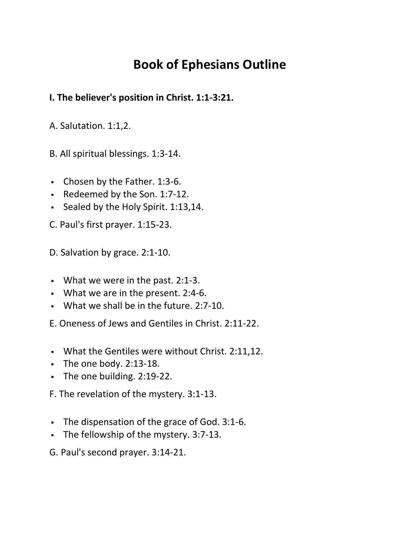## **Book of Ephesians Outline**

## **I. The believer's position in Christ. 1:1-3:21.**

A. Salutation. 1:1,2.

B. All spiritual blessings. 1:3-14.

- Chosen by the Father. 1:3-6.
- Redeemed by the Son. 1:7-12.
- Sealed by the Holy Spirit. 1:13,14.

C. Paul's first prayer. 1:15-23.

D. Salvation by grace. 2:1-10.

- What we were in the past. 2:1-3.
- What we are in the present. 2:4-6.
- What we shall be in the future. 2:7-10.

E. Oneness of Jews and Gentiles in Christ. 2:11-22.

- What the Gentiles were without Christ. 2:11,12.
- $\blacksquare$  The one body. 2:13-18.
- The one building. 2:19-22.

F. The revelation of the mystery. 3:1-13.

- The dispensation of the grace of God. 3:1-6.
- The fellowship of the mystery. 3:7-13.
- G. Paul's second prayer. 3:14-21.